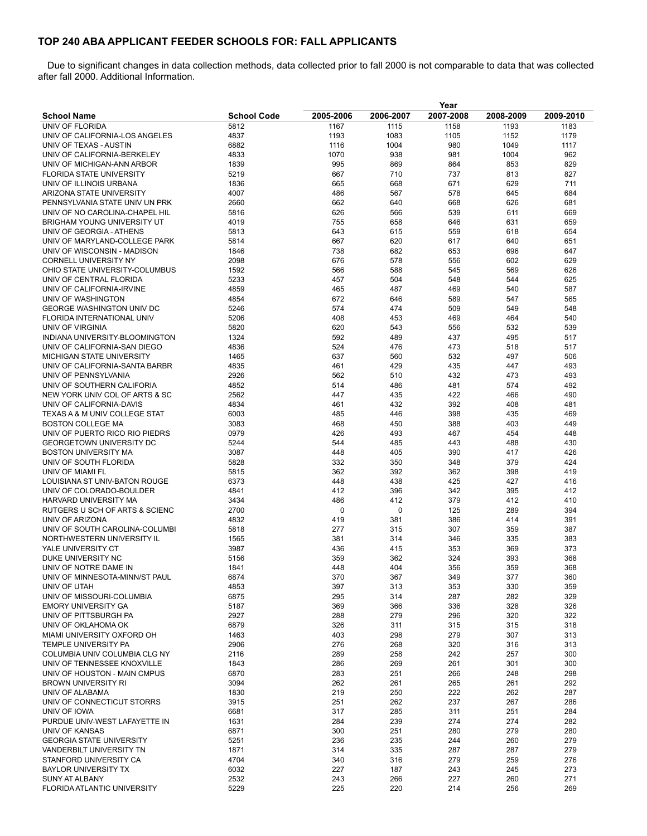## **TOP 240 ABA APPLICANT FEEDER SCHOOLS FOR: FALL APPLICANTS**

Due to significant changes in data collection methods, data collected prior to fall 2000 is not comparable to data that was collected after fall 2000. [Additional Information.](http://www.lsac.org/LSACResources/Data/PDFs/additional-info-volume-summary.pdf)

|                                                              |                    | Year       |             |            |            |            |  |
|--------------------------------------------------------------|--------------------|------------|-------------|------------|------------|------------|--|
| <b>School Name</b>                                           | <b>School Code</b> | 2005-2006  | 2006-2007   | 2007-2008  | 2008-2009  | 2009-2010  |  |
| UNIV OF FLORIDA                                              | 5812               | 1167       | 1115        | 1158       | 1193       | 1183       |  |
| UNIV OF CALIFORNIA-LOS ANGELES                               | 4837               | 1193       | 1083        | 1105       | 1152       | 1179       |  |
| UNIV OF TEXAS - AUSTIN                                       | 6882               | 1116       | 1004        | 980        | 1049       | 1117       |  |
| UNIV OF CALIFORNIA-BERKELEY                                  | 4833               | 1070       | 938         | 981        | 1004       | 962        |  |
| UNIV OF MICHIGAN-ANN ARBOR                                   | 1839               | 995        | 869         | 864        | 853        | 829        |  |
| <b>FLORIDA STATE UNIVERSITY</b>                              | 5219               | 667        | 710         | 737        | 813        | 827        |  |
| UNIV OF ILLINOIS URBANA                                      | 1836               | 665        | 668         | 671        | 629        | 711        |  |
| ARIZONA STATE UNIVERSITY                                     | 4007               | 486        | 567         | 578        | 645        | 684        |  |
| PENNSYLVANIA STATE UNIV UN PRK                               | 2660               | 662        | 640         | 668        | 626        | 681        |  |
| UNIV OF NO CAROLINA-CHAPEL HIL                               | 5816               | 626        | 566         | 539        | 611        | 669        |  |
| <b>BRIGHAM YOUNG UNIVERSITY UT</b>                           | 4019               | 755        | 658         | 646        | 631        | 659        |  |
| UNIV OF GEORGIA - ATHENS                                     | 5813               | 643        | 615         | 559        | 618        | 654        |  |
| UNIV OF MARYLAND-COLLEGE PARK<br>UNIV OF WISCONSIN - MADISON | 5814<br>1846       | 667<br>738 | 620<br>682  | 617<br>653 | 640<br>696 | 651<br>647 |  |
| <b>CORNELL UNIVERSITY NY</b>                                 | 2098               | 676        | 578         | 556        | 602        | 629        |  |
| OHIO STATE UNIVERSITY-COLUMBUS                               | 1592               | 566        | 588         | 545        | 569        | 626        |  |
| UNIV OF CENTRAL FLORIDA                                      | 5233               | 457        | 504         | 548        | 544        | 625        |  |
| UNIV OF CALIFORNIA-IRVINE                                    | 4859               | 465        | 487         | 469        | 540        | 587        |  |
| UNIV OF WASHINGTON                                           | 4854               | 672        | 646         | 589        | 547        | 565        |  |
| <b>GEORGE WASHINGTON UNIV DC</b>                             | 5246               | 574        | 474         | 509        | 549        | 548        |  |
| FLORIDA INTERNATIONAL UNIV                                   | 5206               | 408        | 453         | 469        | 464        | 540        |  |
| UNIV OF VIRGINIA                                             | 5820               | 620        | 543         | 556        | 532        | 539        |  |
| INDIANA UNIVERSITY-BLOOMINGTON                               | 1324               | 592        | 489         | 437        | 495        | 517        |  |
| UNIV OF CALIFORNIA-SAN DIEGO                                 | 4836               | 524        | 476         | 473        | 518        | 517        |  |
| MICHIGAN STATE UNIVERSITY                                    | 1465               | 637        | 560         | 532        | 497        | 506        |  |
| UNIV OF CALIFORNIA-SANTA BARBR                               | 4835               | 461        | 429         | 435        | 447        | 493        |  |
| UNIV OF PENNSYLVANIA                                         | 2926               | 562        | 510         | 432        | 473        | 493        |  |
| UNIV OF SOUTHERN CALIFORIA                                   | 4852               | 514        | 486         | 481        | 574        | 492        |  |
| NEW YORK UNIV COL OF ARTS & SC                               | 2562               | 447        | 435         | 422        | 466        | 490        |  |
| UNIV OF CALIFORNIA-DAVIS                                     | 4834               | 461        | 432         | 392        | 408        | 481        |  |
| <b>TEXAS A &amp; M UNIV COLLEGE STAT</b>                     | 6003               | 485        | 446         | 398        | 435        | 469        |  |
| <b>BOSTON COLLEGE MA</b>                                     | 3083               | 468        | 450         | 388        | 403        | 449        |  |
| UNIV OF PUERTO RICO RIO PIEDRS                               | 0979               | 426        | 493         | 467        | 454        | 448        |  |
| GEORGETOWN UNIVERSITY DC                                     | 5244               | 544        | 485         | 443        | 488        | 430        |  |
| <b>BOSTON UNIVERSITY MA</b>                                  | 3087               | 448        | 405         | 390        | 417        | 426        |  |
| UNIV OF SOUTH FLORIDA                                        | 5828               | 332        | 350         | 348        | 379        | 424        |  |
| UNIV OF MIAMI FL                                             | 5815               | 362        | 392         | 362        | 398        | 419        |  |
| LOUISIANA ST UNIV-BATON ROUGE                                | 6373               | 448        | 438         | 425        | 427        | 416        |  |
| UNIV OF COLORADO-BOULDER<br>HARVARD UNIVERSITY MA            | 4841<br>3434       | 412<br>486 | 396<br>412  | 342<br>379 | 395<br>412 | 412<br>410 |  |
| RUTGERS U SCH OF ARTS & SCIENC                               | 2700               | 0          | $\mathbf 0$ | 125        | 289        | 394        |  |
| UNIV OF ARIZONA                                              | 4832               | 419        | 381         | 386        | 414        | 391        |  |
| UNIV OF SOUTH CAROLINA-COLUMBI                               | 5818               | 277        | 315         | 307        | 359        | 387        |  |
| NORTHWESTERN UNIVERSITY IL                                   | 1565               | 381        | 314         | 346        | 335        | 383        |  |
| YALE UNIVERSITY CT                                           | 3987               | 436        | 415         | 353        | 369        | 373        |  |
| DUKE UNIVERSITY NC                                           | 5156               | 359        | 362         | 324        | 393        | 368        |  |
| UNIV OF NOTRE DAME IN                                        | 1841               | 448        | 404         | 356        | 359        | 368        |  |
| UNIV OF MINNESOTA-MINN/ST PAUL                               | 6874               | 370        | 367         | 349        | 377        | 360        |  |
| UNIV OF UTAH                                                 | 4853               | 397        | 313         | 353        | 330        | 359        |  |
| UNIV OF MISSOURI-COLUMBIA                                    | 6875               | 295        | 314         | 287        | 282        | 329        |  |
| <b>EMORY UNIVERSITY GA</b>                                   | 5187               | 369        | 366         | 336        | 328        | 326        |  |
| UNIV OF PITTSBURGH PA                                        | 2927               | 288        | 279         | 296        | 320        | 322        |  |
| UNIV OF OKLAHOMA OK                                          | 6879               | 326        | 311         | 315        | 315        | 318        |  |
| MIAMI UNIVERSITY OXFORD OH                                   | 1463               | 403        | 298         | 279        | 307        | 313        |  |
| TEMPLE UNIVERSITY PA                                         | 2906               | 276        | 268         | 320        | 316        | 313        |  |
| COLUMBIA UNIV COLUMBIA CLG NY                                | 2116               | 289        | 258         | 242        | 257        | 300        |  |
| UNIV OF TENNESSEE KNOXVILLE                                  | 1843               | 286        | 269         | 261        | 301        | 300        |  |
| UNIV OF HOUSTON - MAIN CMPUS                                 | 6870               | 283        | 251         | 266        | 248        | 298        |  |
| <b>BROWN UNIVERSITY RI</b>                                   | 3094               | 262        | 261         | 265        | 261        | 292        |  |
| UNIV OF ALABAMA                                              | 1830               | 219        | 250         | 222        | 262        | 287        |  |
| UNIV OF CONNECTICUT STORRS                                   | 3915               | 251        | 262         | 237        | 267        | 286        |  |
| UNIV OF IOWA                                                 | 6681               | 317        | 285         | 311        | 251        | 284        |  |
| PURDUE UNIV-WEST LAFAYETTE IN                                | 1631               | 284        | 239         | 274        | 274        | 282        |  |
| UNIV OF KANSAS<br><b>GEORGIA STATE UNIVERSITY</b>            | 6871<br>5251       | 300<br>236 | 251<br>235  | 280<br>244 | 279<br>260 | 280<br>279 |  |
| VANDERBILT UNIVERSITY TN                                     | 1871               | 314        | 335         | 287        | 287        | 279        |  |
| STANFORD UNIVERSITY CA                                       | 4704               | 340        | 316         | 279        | 259        | 276        |  |
| <b>BAYLOR UNIVERSITY TX</b>                                  | 6032               | 227        | 187         | 243        | 245        | 273        |  |
| SUNY AT ALBANY                                               | 2532               | 243        | 266         | 227        | 260        | 271        |  |
| FLORIDA ATLANTIC UNIVERSITY                                  | 5229               | 225        | 220         | 214        | 256        | 269        |  |
|                                                              |                    |            |             |            |            |            |  |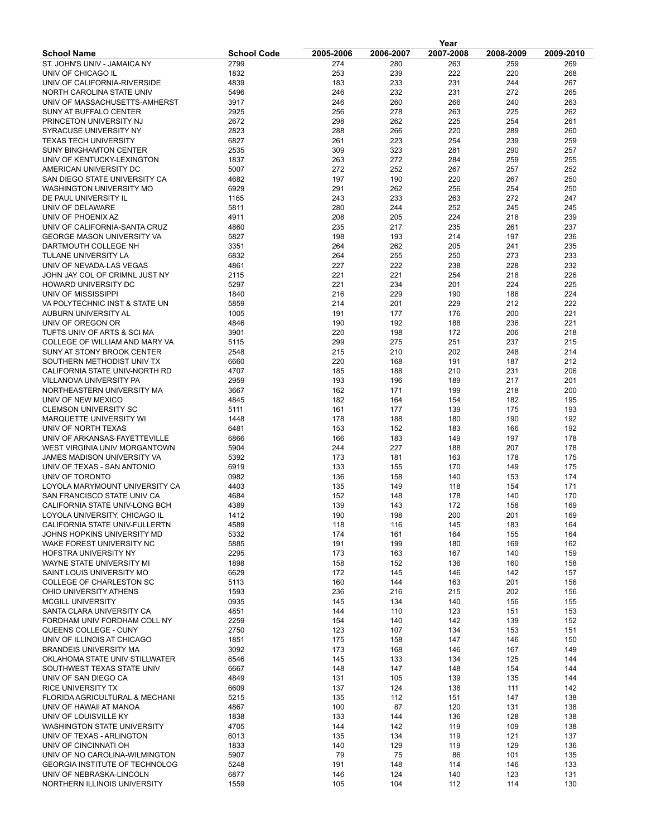|                                                                         | Year               |            |            |            |            |            |  |
|-------------------------------------------------------------------------|--------------------|------------|------------|------------|------------|------------|--|
| <b>School Name</b>                                                      | <b>School Code</b> | 2005-2006  | 2006-2007  | 2007-2008  | 2008-2009  | 2009-2010  |  |
| ST. JOHN'S UNIV - JAMAICA NY                                            | 2799               | 274        | 280        | 263        | 259        | 269        |  |
| UNIV OF CHICAGO IL                                                      | 1832               | 253        | 239        | 222        | 220        | 268        |  |
| UNIV OF CALIFORNIA-RIVERSIDE<br>NORTH CAROLINA STATE UNIV               | 4839               | 183        | 233<br>232 | 231<br>231 | 244<br>272 | 267<br>265 |  |
| UNIV OF MASSACHUSETTS-AMHERST                                           | 5496<br>3917       | 246<br>246 | 260        | 266        | 240        | 263        |  |
| SUNY AT BUFFALO CENTER                                                  | 2925               | 256        | 278        | 263        | 225        | 262        |  |
| PRINCETON UNIVERSITY NJ                                                 | 2672               | 298        | 262        | 225        | 254        | 261        |  |
| SYRACUSE UNIVERSITY NY                                                  | 2823               | 288        | 266        | 220        | 289        | 260        |  |
| <b>TEXAS TECH UNIVERSITY</b>                                            | 6827               | 261        | 223        | 254        | 239        | 259        |  |
| <b>SUNY BINGHAMTON CENTER</b>                                           | 2535               | 309        | 323        | 281        | 290        | 257        |  |
| UNIV OF KENTUCKY-LEXINGTON                                              | 1837               | 263        | 272        | 284        | 259        | 255        |  |
| AMERICAN UNIVERSITY DC                                                  | 5007               | 272        | 252        | 267        | 257        | 252        |  |
| SAN DIEGO STATE UNIVERSITY CA                                           | 4682               | 197        | 190        | 220        | 267        | 250        |  |
| <b>WASHINGTON UNIVERSITY MO</b>                                         | 6929               | 291        | 262<br>233 | 256        | 254<br>272 | 250<br>247 |  |
| DE PAUL UNIVERSITY IL<br>UNIV OF DELAWARE                               | 1165<br>5811       | 243<br>280 | 244        | 263<br>252 | 245        | 245        |  |
| UNIV OF PHOENIX AZ                                                      | 4911               | 208        | 205        | 224        | 218        | 239        |  |
| UNIV OF CALIFORNIA-SANTA CRUZ                                           | 4860               | 235        | 217        | 235        | 261        | 237        |  |
| <b>GEORGE MASON UNIVERSITY VA</b>                                       | 5827               | 198        | 193        | 214        | 197        | 236        |  |
| DARTMOUTH COLLEGE NH                                                    | 3351               | 264        | 262        | 205        | 241        | 235        |  |
| <b>TULANE UNIVERSITY LA</b>                                             | 6832               | 264        | 255        | 250        | 273        | 233        |  |
| UNIV OF NEVADA-LAS VEGAS                                                | 4861               | 227        | 222        | 238        | 228        | 232        |  |
| JOHN JAY COL OF CRIMNL JUST NY                                          | 2115               | 221        | 221        | 254        | 218        | 226        |  |
| HOWARD UNIVERSITY DC                                                    | 5297               | 221        | 234        | 201        | 224        | 225        |  |
| UNIV OF MISSISSIPPI                                                     | 1840               | 216        | 229        | 190        | 186        | 224        |  |
| VA POLYTECHNIC INST & STATE UN                                          | 5859               | 214        | 201        | 229        | 212        | 222        |  |
| AUBURN UNIVERSITY AL<br>UNIV OF OREGON OR                               | 1005<br>4846       | 191<br>190 | 177<br>192 | 176<br>188 | 200<br>236 | 221<br>221 |  |
| TUFTS UNIV OF ARTS & SCI MA                                             | 3901               | 220        | 198        | 172        | 206        | 218        |  |
| COLLEGE OF WILLIAM AND MARY VA                                          | 5115               | 299        | 275        | 251        | 237        | 215        |  |
| SUNY AT STONY BROOK CENTER                                              | 2548               | 215        | 210        | 202        | 248        | 214        |  |
| SOUTHERN METHODIST UNIV TX                                              | 6660               | 220        | 168        | 191        | 187        | 212        |  |
| CALIFORNIA STATE UNIV-NORTH RD                                          | 4707               | 185        | 188        | 210        | 231        | 206        |  |
| VILLANOVA UNIVERSITY PA                                                 | 2959               | 193        | 196        | 189        | 217        | 201        |  |
| NORTHEASTERN UNIVERSITY MA                                              | 3667               | 162        | 171        | 199        | 218        | 200        |  |
| UNIV OF NEW MEXICO                                                      | 4845               | 182        | 164        | 154        | 182        | 195        |  |
| <b>CLEMSON UNIVERSITY SC</b>                                            | 5111               | 161        | 177        | 139        | 175        | 193        |  |
| MARQUETTE UNIVERSITY WI                                                 | 1448               | 178        | 188        | 180        | 190        | 192<br>192 |  |
| UNIV OF NORTH TEXAS<br>UNIV OF ARKANSAS-FAYETTEVILLE                    | 6481<br>6866       | 153<br>166 | 152<br>183 | 183<br>149 | 166<br>197 | 178        |  |
| WEST VIRGINIA UNIV MORGANTOWN                                           | 5904               | 244        | 227        | 188        | 207        | 178        |  |
| JAMES MADISON UNIVERSITY VA                                             | 5392               | 173        | 181        | 163        | 178        | 175        |  |
| UNIV OF TEXAS - SAN ANTONIO                                             | 6919               | 133        | 155        | 170        | 149        | 175        |  |
| UNIV OF TORONTO                                                         | 0982               | 136        | 158        | 140        | 153        | 174        |  |
| LOYOLA MARYMOUNT UNIVERSITY CA                                          | 4403               | 135        | 149        | 118        | 154        | 171        |  |
| SAN FRANCISCO STATE UNIV CA                                             | 4684               | 152        | 148        | 178        | 140        | 170        |  |
| CALIFORNIA STATE UNIV-LONG BCH                                          | 4389               | 139        | 143        | 172        | 158        | 169        |  |
| LOYOLA UNIVERSITY, CHICAGO IL                                           | 1412               | 190        | 198        | 200        | 201        | 169        |  |
| CALIFORNIA STATE UNIV-FULLERTN                                          | 4589               | 118        | 116        | 145        | 183        | 164        |  |
| JOHNS HOPKINS UNIVERSITY MD<br>WAKE FOREST UNIVERSITY NC                | 5332<br>5885       | 174<br>191 | 161<br>199 | 164<br>180 | 155<br>169 | 164<br>162 |  |
| <b>HOFSTRA UNIVERSITY NY</b>                                            | 2295               | 173        | 163        | 167        | 140        | 159        |  |
| WAYNE STATE UNIVERSITY MI                                               | 1898               | 158        | 152        | 136        | 160        | 158        |  |
| SAINT LOUIS UNIVERSITY MO                                               | 6629               | 172        | 145        | 146        | 142        | 157        |  |
| COLLEGE OF CHARLESTON SC                                                | 5113               | 160        | 144        | 163        | 201        | 156        |  |
| OHIO UNIVERSITY ATHENS                                                  | 1593               | 236        | 216        | 215        | 202        | 156        |  |
| MCGILL UNIVERSITY                                                       | 0935               | 145        | 134        | 140        | 156        | 155        |  |
| SANTA CLARA UNIVERSITY CA                                               | 4851               | 144        | 110        | 123        | 151        | 153        |  |
| FORDHAM UNIV FORDHAM COLL NY                                            | 2259               | 154        | 140        | 142        | 139        | 152        |  |
| QUEENS COLLEGE - CUNY                                                   | 2750               | 123        | 107        | 134        | 153        | 151<br>150 |  |
| UNIV OF ILLINOIS AT CHICAGO<br><b>BRANDEIS UNIVERSITY MA</b>            | 1851<br>3092       | 175<br>173 | 158<br>168 | 147<br>146 | 146<br>167 | 149        |  |
| OKLAHOMA STATE UNIV STILLWATER                                          | 6546               | 145        | 133        | 134        | 125        | 144        |  |
| SOUTHWEST TEXAS STATE UNIV                                              | 6667               | 148        | 147        | 148        | 154        | 144        |  |
| UNIV OF SAN DIEGO CA                                                    | 4849               | 131        | 105        | 139        | 135        | 144        |  |
| <b>RICE UNIVERSITY TX</b>                                               | 6609               | 137        | 124        | 138        | 111        | 142        |  |
| FLORIDA AGRICULTURAL & MECHANI                                          | 5215               | 135        | 112        | 151        | 147        | 138        |  |
| UNIV OF HAWAII AT MANOA                                                 | 4867               | 100        | 87         | 120        | 131        | 138        |  |
| UNIV OF LOUISVILLE KY                                                   | 1838               | 133        | 144        | 136        | 128        | 138        |  |
| <b>WASHINGTON STATE UNIVERSITY</b>                                      | 4705               | 144        | 142        | 119        | 109        | 138        |  |
| UNIV OF TEXAS - ARLINGTON                                               | 6013               | 135        | 134        | 119        | 121        | 137        |  |
| UNIV OF CINCINNATI OH                                                   | 1833               | 140        | 129        | 119        | 129        | 136        |  |
| UNIV OF NO CAROLINA-WILMINGTON<br><b>GEORGIA INSTITUTE OF TECHNOLOG</b> | 5907<br>5248       | 79<br>191  | 75<br>148  | 86<br>114  | 101<br>146 | 135<br>133 |  |
| UNIV OF NEBRASKA-LINCOLN                                                | 6877               | 146        | 124        | 140        | 123        | 131        |  |
| NORTHERN ILLINOIS UNIVERSITY                                            | 1559               | 105        | 104        | 112        | 114        | 130        |  |
|                                                                         |                    |            |            |            |            |            |  |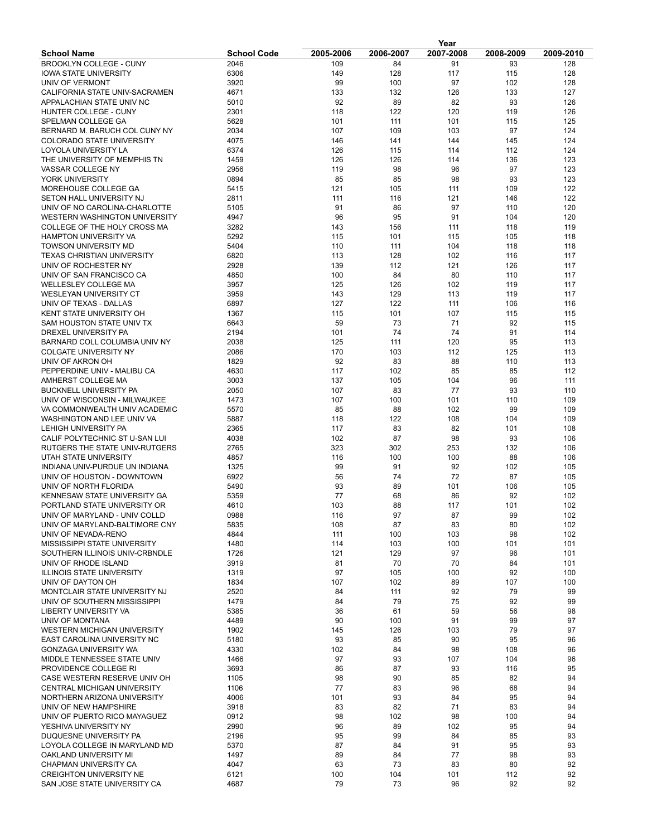|                                   | Year               |           |           |           |           |           |  |
|-----------------------------------|--------------------|-----------|-----------|-----------|-----------|-----------|--|
| <b>School Name</b>                | <b>School Code</b> | 2005-2006 | 2006-2007 | 2007-2008 | 2008-2009 | 2009-2010 |  |
| <b>BROOKLYN COLLEGE - CUNY</b>    | 2046               | 109       | 84        | 91        | 93        | 128       |  |
| IOWA STATE UNIVERSITY             | 6306               | 149       | 128       | 117       | 115       | 128       |  |
| UNIV OF VERMONT                   | 3920               | 99        | 100       | 97        | 102       | 128       |  |
| CALIFORNIA STATE UNIV-SACRAMEN    | 4671               | 133       | 132       | 126       | 133       | 127       |  |
| APPALACHIAN STATE UNIV NC         | 5010               | 92        | 89        | 82        | 93        | 126       |  |
| HUNTER COLLEGE - CUNY             | 2301               | 118       | 122       | 120       | 119       | 126       |  |
| SPELMAN COLLEGE GA                | 5628               | 101       | 111       | 101       | 115       | 125       |  |
| BERNARD M. BARUCH COL CUNY NY     | 2034               | 107       | 109       | 103       | 97        | 124       |  |
| <b>COLORADO STATE UNIVERSITY</b>  | 4075               | 146       | 141       | 144       | 145       | 124       |  |
| LOYOLA UNIVERSITY LA              | 6374               | 126       | 115       | 114       | 112       | 124       |  |
| THE UNIVERSITY OF MEMPHIS TN      | 1459               | 126       | 126       | 114       | 136       | 123       |  |
| VASSAR COLLEGE NY                 | 2956               | 119       | 98        | 96        | 97        | 123       |  |
| YORK UNIVERSITY                   | 0894               | 85        | 85        | 98        | 93        | 123       |  |
| MOREHOUSE COLLEGE GA              | 5415               | 121       | 105       | 111       | 109       | 122       |  |
| SETON HALL UNIVERSITY NJ          | 2811               | 111       | 116       | 121       | 146       | 122       |  |
| UNIV OF NO CAROLINA-CHARLOTTE     | 5105               | 91        | 86        | 97        | 110       | 120       |  |
| WESTERN WASHINGTON UNIVERSITY     | 4947               | 96        | 95        | 91        | 104       | 120       |  |
| COLLEGE OF THE HOLY CROSS MA      | 3282               | 143       | 156       | 111       | 118       | 119       |  |
| <b>HAMPTON UNIVERSITY VA</b>      | 5292               | 115       | 101       | 115       | 105       | 118       |  |
| <b>TOWSON UNIVERSITY MD</b>       | 5404               | 110       | 111       | 104       | 118       | 118       |  |
| <b>TEXAS CHRISTIAN UNIVERSITY</b> | 6820               | 113       | 128       | 102       | 116       | 117       |  |
| UNIV OF ROCHESTER NY              | 2928               | 139       | 112       | 121       | 126       | 117       |  |
| UNIV OF SAN FRANCISCO CA          | 4850               | 100       | 84        | 80        | 110       | 117       |  |
| WELLESLEY COLLEGE MA              | 3957               | 125       | 126       | 102       | 119       | 117       |  |
| WESLEYAN UNIVERSITY CT            | 3959               | 143       | 129       | 113       | 119       | 117       |  |
| UNIV OF TEXAS - DALLAS            | 6897               | 127       | 122       | 111       | 106       | 116       |  |
| KENT STATE UNIVERSITY OH          | 1367               | 115       | 101       | 107       | 115       | 115       |  |
| SAM HOUSTON STATE UNIV TX         | 6643               | 59        | 73        | 71        | 92        | 115       |  |
| DREXEL UNIVERSITY PA              | 2194               | 101       | 74        | 74        | 91        | 114       |  |
| BARNARD COLL COLUMBIA UNIV NY     | 2038               | 125       | 111       | 120       | 95        | 113       |  |
| <b>COLGATE UNIVERSITY NY</b>      | 2086               | 170       | 103       | 112       | 125       | 113       |  |
| UNIV OF AKRON OH                  | 1829               | 92        | 83        | 88        | 110       | 113       |  |
| PEPPERDINE UNIV - MALIBU CA       | 4630               | 117       | 102       | 85        | 85        | 112       |  |
| AMHERST COLLEGE MA                | 3003               | 137       | 105       | 104       | 96        | 111       |  |
| <b>BUCKNELL UNIVERSITY PA</b>     | 2050               | 107       | 83        | 77        | 93        | 110       |  |
| UNIV OF WISCONSIN - MILWAUKEE     | 1473               | 107       | 100       | 101       | 110       | 109       |  |
| VA COMMONWEALTH UNIV ACADEMIC     | 5570               | 85        | 88        | 102       | 99        | 109       |  |
| WASHINGTON AND LEE UNIV VA        | 5887               | 118       | 122       | 108       | 104       | 109       |  |
| LEHIGH UNIVERSITY PA              | 2365               | 117       | 83        | 82        | 101       | 108       |  |
| CALIF POLYTECHNIC ST U-SAN LUI    | 4038               | 102       | 87        | 98        | 93        | 106       |  |
| RUTGERS THE STATE UNIV-RUTGERS    | 2765               | 323       | 302       | 253       | 132       | 106       |  |
| UTAH STATE UNIVERSITY             | 4857               | 116       | 100       | 100       | 88        | 106       |  |
| INDIANA UNIV-PURDUE UN INDIANA    | 1325               | 99        | 91        | 92        | 102       | 105       |  |
| UNIV OF HOUSTON - DOWNTOWN        | 6922               | 56        | 74        | 72        | 87        | 105       |  |
| UNIV OF NORTH FLORIDA             | 5490               | 93        | 89        | 101       | 106       | 105       |  |
| KENNESAW STATE UNIVERSITY GA      | 5359               | 77        | 68        | 86        | 92        | 102       |  |
| PORTLAND STATE UNIVERSITY OR      | 4610               | 103       | 88        | 117       | 101       | 102       |  |
| UNIV OF MARYLAND - UNIV COLLD     | 0988               | 116       | 97        | 87        | 99        | 102       |  |
| UNIV OF MARYLAND-BALTIMORE CNY    | 5835               | 108       | 87        | 83        | 80        | 102       |  |
| UNIV OF NEVADA-RENO               | 4844               | 111       | 100       | 103       | 98        | 102       |  |
| MISSISSIPPI STATE UNIVERSITY      | 1480               | 114       | 103       | 100       | 101       | 101       |  |
| SOUTHERN ILLINOIS UNIV-CRBNDLE    | 1726               | 121       | 129       | 97        | 96        | 101       |  |
| UNIV OF RHODE ISLAND              | 3919               | 81        | 70        | 70        | 84        | 101       |  |
| <b>ILLINOIS STATE UNIVERSITY</b>  | 1319               | 97        | 105       | 100       | 92        | 100       |  |
| UNIV OF DAYTON OH                 | 1834               | 107       | 102       | 89        | 107       | 100       |  |
| MONTCLAIR STATE UNIVERSITY NJ     | 2520               | 84        | 111       | 92        | 79        | 99        |  |
| UNIV OF SOUTHERN MISSISSIPPI      | 1479               | 84        | 79        | 75        | 92        | 99        |  |
| <b>LIBERTY UNIVERSITY VA</b>      | 5385               | 36        | 61        | 59        | 56        | 98        |  |
| UNIV OF MONTANA                   | 4489               | 90        | 100       | 91        | 99        | 97        |  |
| WESTERN MICHIGAN UNIVERSITY       | 1902               | 145       | 126       | 103       | 79        | 97        |  |
| EAST CAROLINA UNIVERSITY NC       | 5180               | 93        | 85        | 90        | 95        | 96        |  |
| <b>GONZAGA UNIVERSITY WA</b>      | 4330               | 102       | 84        | 98        | 108       | 96        |  |
| MIDDLE TENNESSEE STATE UNIV       | 1466               | 97        | 93        | 107       | 104       | 96        |  |
| PROVIDENCE COLLEGE RI             | 3693               | 86        | 87        | 93        | 116       | 95        |  |
| CASE WESTERN RESERVE UNIV OH      | 1105               | 98        | 90        | 85        | 82        | 94        |  |
| CENTRAL MICHIGAN UNIVERSITY       | 1106               | 77        | 83        | 96        | 68        | 94        |  |
| NORTHERN ARIZONA UNIVERSITY       | 4006               | 101       | 93        | 84        | 95        | 94        |  |
| UNIV OF NEW HAMPSHIRE             | 3918               | 83        | 82        | 71        | 83        | 94        |  |
| UNIV OF PUERTO RICO MAYAGUEZ      | 0912               | 98        | 102       | 98        | 100       | 94        |  |
| YESHIVA UNIVERSITY NY             | 2990               | 96        | 89        | 102       | 95        | 94        |  |
| DUQUESNE UNIVERSITY PA            | 2196               | 95        | 99        | 84        | 85        | 93        |  |
| LOYOLA COLLEGE IN MARYLAND MD     | 5370               | 87        | 84        | 91        | 95        | 93        |  |
| OAKLAND UNIVERSITY MI             | 1497               | 89        | 84        | 77        | 98        | 93        |  |
| CHAPMAN UNIVERSITY CA             | 4047               | 63        | 73        | 83        | 80        | 92        |  |
| <b>CREIGHTON UNIVERSITY NE</b>    | 6121               | 100       | 104       | 101       | 112       | 92        |  |
| SAN JOSE STATE UNIVERSITY CA      | 4687               | 79        | 73        | 96        | 92        | 92        |  |